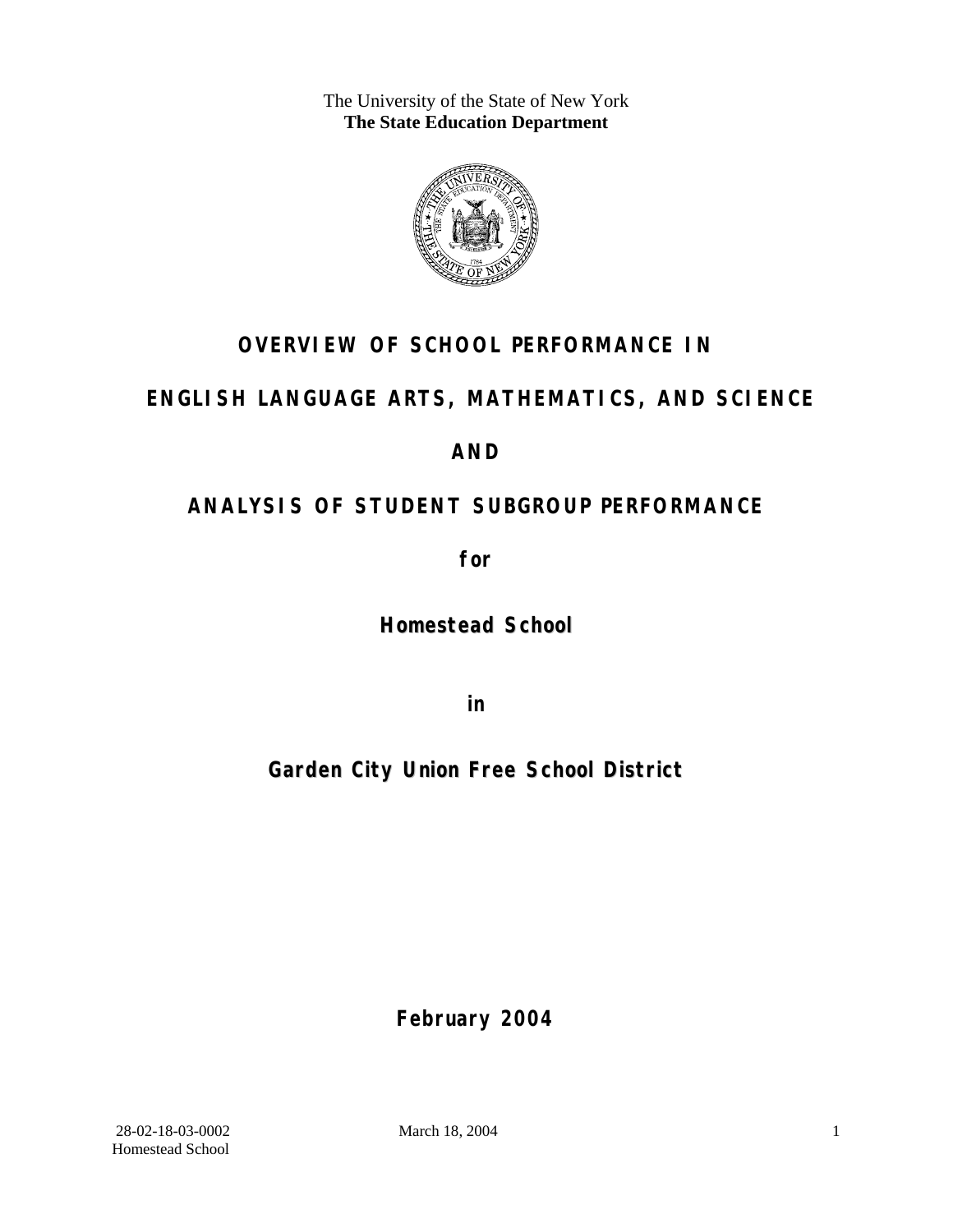The University of the State of New York **The State Education Department** 



## **OVERVIEW OF SCHOOL PERFORMANCE IN**

## **ENGLISH LANGUAGE ARTS, MATHEMATICS, AND SCIENCE**

## **AND**

## **ANALYSIS OF STUDENT SUBGROUP PERFORMANCE**

**for** 

**Homestead School**

**in** 

## **Garden City Union Free School District**

**February 2004**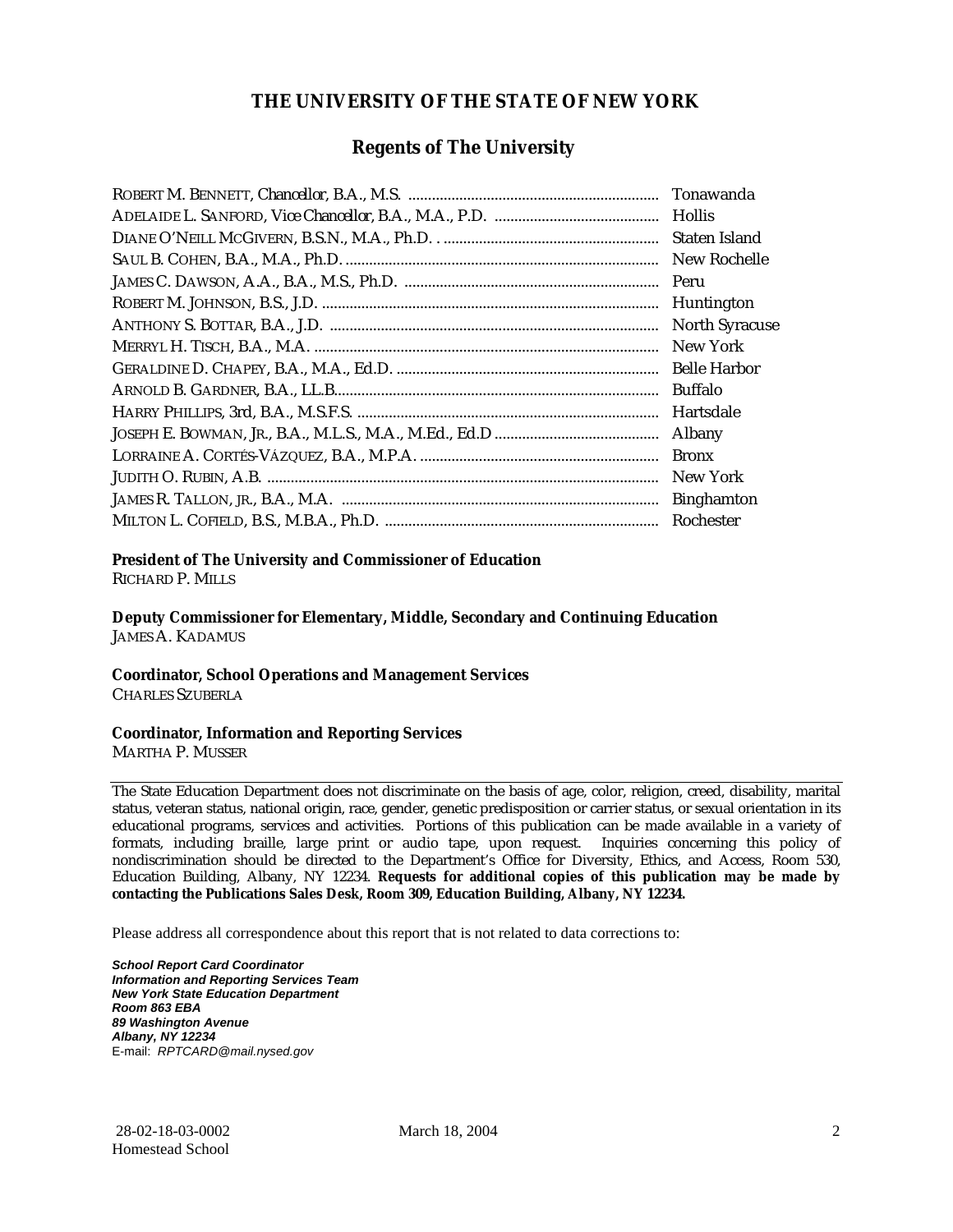#### **THE UNIVERSITY OF THE STATE OF NEW YORK**

#### **Regents of The University**

| Tonawanda             |
|-----------------------|
| <b>Hollis</b>         |
| Staten Island         |
| New Rochelle          |
| Peru                  |
| Huntington            |
| <b>North Syracuse</b> |
| New York              |
| <b>Belle Harbor</b>   |
| <b>Buffalo</b>        |
| Hartsdale             |
| Albany                |
| <b>Bronx</b>          |
| New York              |
| <b>Binghamton</b>     |
| Rochester             |

#### **President of The University and Commissioner of Education**

RICHARD P. MILLS

**Deputy Commissioner for Elementary, Middle, Secondary and Continuing Education**  JAMES A. KADAMUS

#### **Coordinator, School Operations and Management Services**

CHARLES SZUBERLA

#### **Coordinator, Information and Reporting Services**

MARTHA P. MUSSER

The State Education Department does not discriminate on the basis of age, color, religion, creed, disability, marital status, veteran status, national origin, race, gender, genetic predisposition or carrier status, or sexual orientation in its educational programs, services and activities. Portions of this publication can be made available in a variety of formats, including braille, large print or audio tape, upon request. Inquiries concerning this policy of nondiscrimination should be directed to the Department's Office for Diversity, Ethics, and Access, Room 530, Education Building, Albany, NY 12234. **Requests for additional copies of this publication may be made by contacting the Publications Sales Desk, Room 309, Education Building, Albany, NY 12234.** 

Please address all correspondence about this report that is not related to data corrections to:

*School Report Card Coordinator Information and Reporting Services Team New York State Education Department Room 863 EBA 89 Washington Avenue Albany, NY 12234*  E-mail: *RPTCARD@mail.nysed.gov*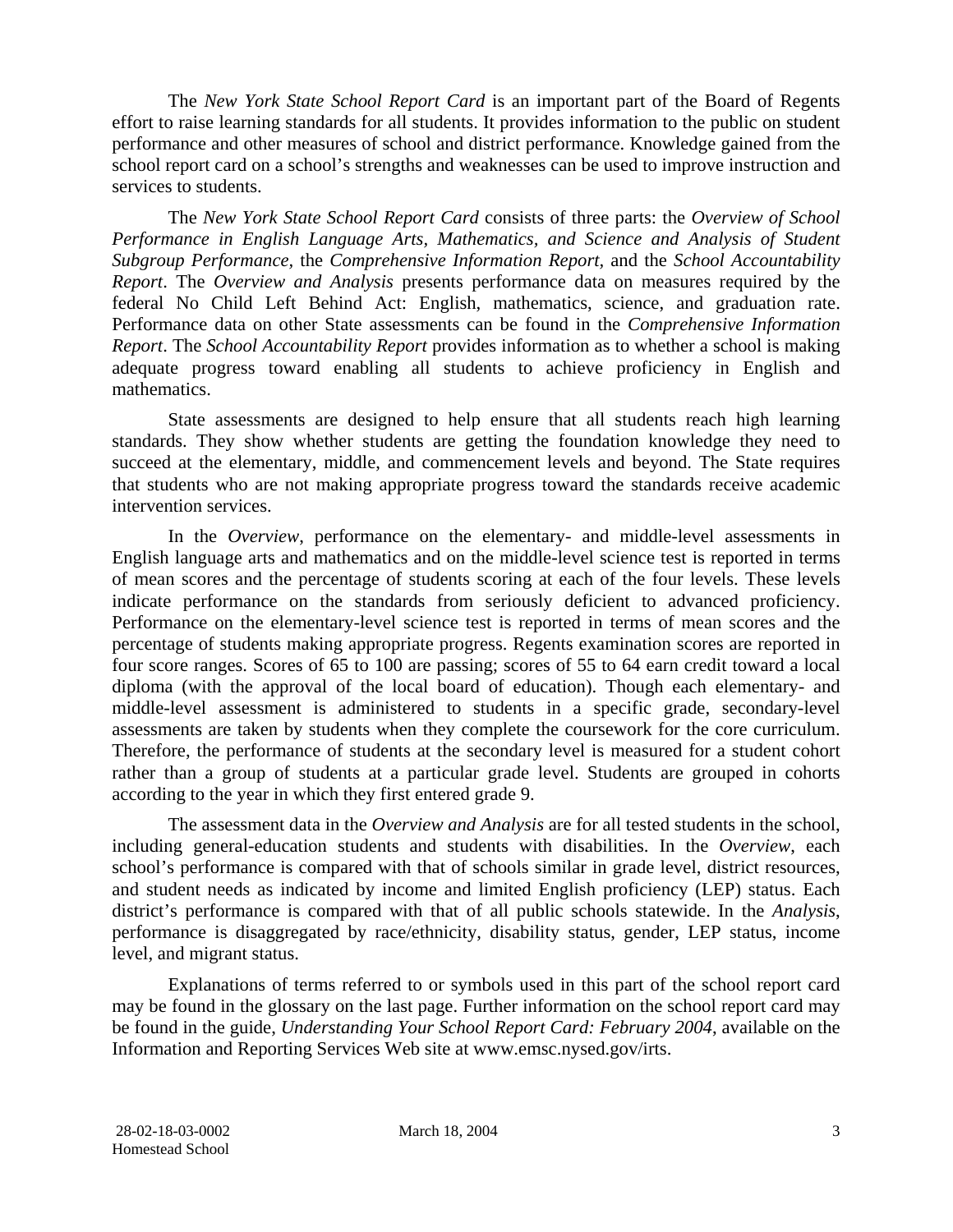The *New York State School Report Card* is an important part of the Board of Regents effort to raise learning standards for all students. It provides information to the public on student performance and other measures of school and district performance. Knowledge gained from the school report card on a school's strengths and weaknesses can be used to improve instruction and services to students.

The *New York State School Report Card* consists of three parts: the *Overview of School Performance in English Language Arts, Mathematics, and Science and Analysis of Student Subgroup Performance,* the *Comprehensive Information Report,* and the *School Accountability Report*. The *Overview and Analysis* presents performance data on measures required by the federal No Child Left Behind Act: English, mathematics, science, and graduation rate. Performance data on other State assessments can be found in the *Comprehensive Information Report*. The *School Accountability Report* provides information as to whether a school is making adequate progress toward enabling all students to achieve proficiency in English and mathematics.

State assessments are designed to help ensure that all students reach high learning standards. They show whether students are getting the foundation knowledge they need to succeed at the elementary, middle, and commencement levels and beyond. The State requires that students who are not making appropriate progress toward the standards receive academic intervention services.

In the *Overview*, performance on the elementary- and middle-level assessments in English language arts and mathematics and on the middle-level science test is reported in terms of mean scores and the percentage of students scoring at each of the four levels. These levels indicate performance on the standards from seriously deficient to advanced proficiency. Performance on the elementary-level science test is reported in terms of mean scores and the percentage of students making appropriate progress. Regents examination scores are reported in four score ranges. Scores of 65 to 100 are passing; scores of 55 to 64 earn credit toward a local diploma (with the approval of the local board of education). Though each elementary- and middle-level assessment is administered to students in a specific grade, secondary-level assessments are taken by students when they complete the coursework for the core curriculum. Therefore, the performance of students at the secondary level is measured for a student cohort rather than a group of students at a particular grade level. Students are grouped in cohorts according to the year in which they first entered grade 9.

The assessment data in the *Overview and Analysis* are for all tested students in the school, including general-education students and students with disabilities. In the *Overview*, each school's performance is compared with that of schools similar in grade level, district resources, and student needs as indicated by income and limited English proficiency (LEP) status. Each district's performance is compared with that of all public schools statewide. In the *Analysis*, performance is disaggregated by race/ethnicity, disability status, gender, LEP status, income level, and migrant status.

Explanations of terms referred to or symbols used in this part of the school report card may be found in the glossary on the last page. Further information on the school report card may be found in the guide, *Understanding Your School Report Card: February 2004*, available on the Information and Reporting Services Web site at www.emsc.nysed.gov/irts.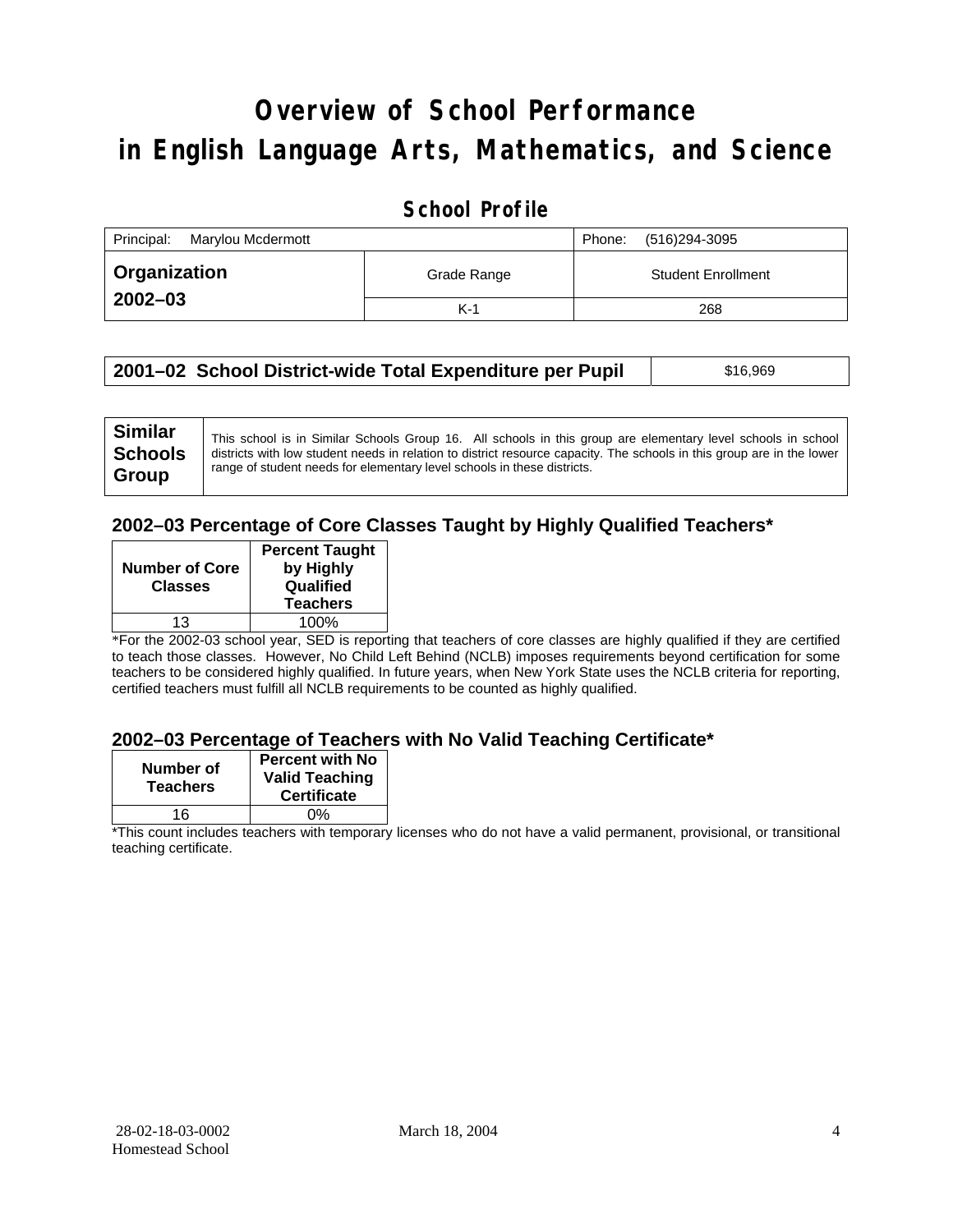# **Overview of School Performance in English Language Arts, Mathematics, and Science**

### **School Profile**

| Principal:<br>Marylou Mcdermott |             | (516)294-3095<br>Phone:   |
|---------------------------------|-------------|---------------------------|
| <b>Ⅰ Organization</b>           | Grade Range | <b>Student Enrollment</b> |
| $2002 - 03$                     | $K-1$       | 268                       |

| 2001–02 School District-wide Total Expenditure per Pupil | \$16,969 |
|----------------------------------------------------------|----------|
|----------------------------------------------------------|----------|

### **2002–03 Percentage of Core Classes Taught by Highly Qualified Teachers\***

| <b>Number of Core</b><br><b>Classes</b> | <b>Percent Taught</b><br>by Highly<br>Qualified<br><b>Teachers</b> |
|-----------------------------------------|--------------------------------------------------------------------|
| 13                                      | 100%                                                               |

\*For the 2002-03 school year, SED is reporting that teachers of core classes are highly qualified if they are certified to teach those classes. However, No Child Left Behind (NCLB) imposes requirements beyond certification for some teachers to be considered highly qualified. In future years, when New York State uses the NCLB criteria for reporting, certified teachers must fulfill all NCLB requirements to be counted as highly qualified.

#### **2002–03 Percentage of Teachers with No Valid Teaching Certificate\***

| Number of<br><b>Teachers</b> | <b>Percent with No</b><br><b>Valid Teaching</b><br><b>Certificate</b> |
|------------------------------|-----------------------------------------------------------------------|
| 16                           | ሰ%                                                                    |

\*This count includes teachers with temporary licenses who do not have a valid permanent, provisional, or transitional teaching certificate.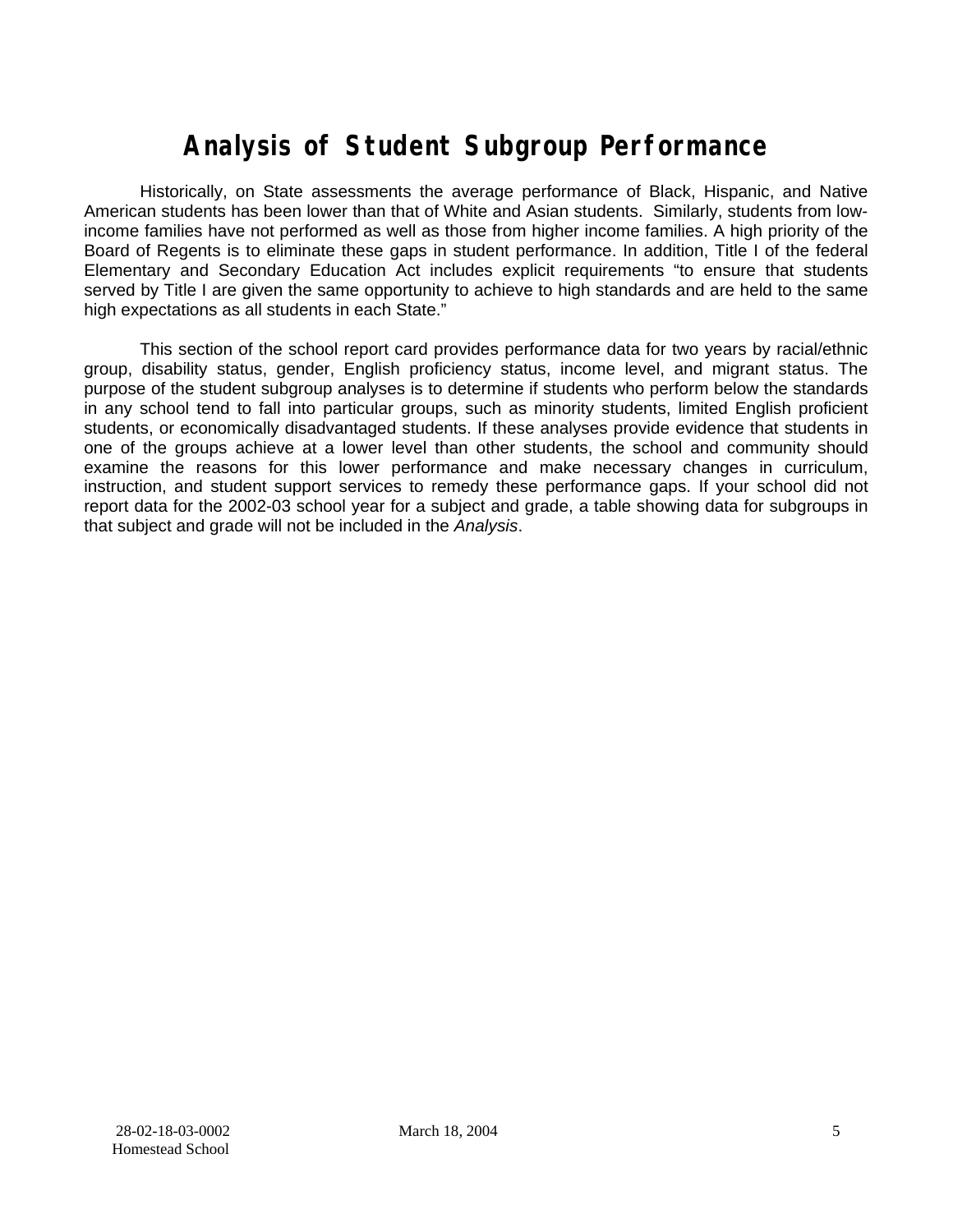# **Analysis of Student Subgroup Performance**

Historically, on State assessments the average performance of Black, Hispanic, and Native American students has been lower than that of White and Asian students. Similarly, students from lowincome families have not performed as well as those from higher income families. A high priority of the Board of Regents is to eliminate these gaps in student performance. In addition, Title I of the federal Elementary and Secondary Education Act includes explicit requirements "to ensure that students served by Title I are given the same opportunity to achieve to high standards and are held to the same high expectations as all students in each State."

This section of the school report card provides performance data for two years by racial/ethnic group, disability status, gender, English proficiency status, income level, and migrant status. The purpose of the student subgroup analyses is to determine if students who perform below the standards in any school tend to fall into particular groups, such as minority students, limited English proficient students, or economically disadvantaged students. If these analyses provide evidence that students in one of the groups achieve at a lower level than other students, the school and community should examine the reasons for this lower performance and make necessary changes in curriculum, instruction, and student support services to remedy these performance gaps. If your school did not report data for the 2002-03 school year for a subject and grade, a table showing data for subgroups in that subject and grade will not be included in the *Analysis*.